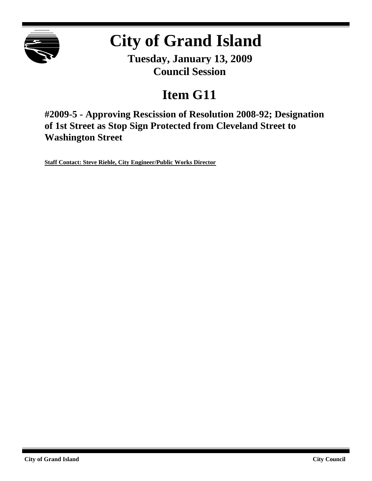

# **City of Grand Island**

**Tuesday, January 13, 2009 Council Session**

## **Item G11**

**#2009-5 - Approving Rescission of Resolution 2008-92; Designation of 1st Street as Stop Sign Protected from Cleveland Street to Washington Street**

**Staff Contact: Steve Riehle, City Engineer/Public Works Director**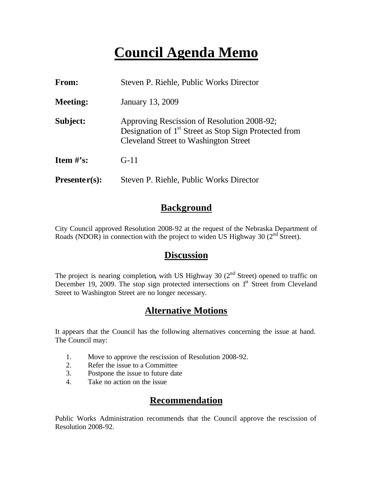### **Council Agenda Memo**

| From:           | Steven P. Riehle, Public Works Director                                                                                                                          |
|-----------------|------------------------------------------------------------------------------------------------------------------------------------------------------------------|
| <b>Meeting:</b> | January 13, 2009                                                                                                                                                 |
| Subject:        | Approving Rescission of Resolution 2008-92;<br>Designation of 1 <sup>st</sup> Street as Stop Sign Protected from<br><b>Cleveland Street to Washington Street</b> |
| Item $#$ 's:    | $G-11$                                                                                                                                                           |
| $Presenter(s):$ | Steven P. Riehle, Public Works Director                                                                                                                          |

#### **Background**

City Council approved Resolution 2008-92 at the request of the Nebraska Department of Roads (NDOR) in connection with the project to widen US Highway 30 ( $2<sup>nd</sup>$  Street).

#### **Discussion**

The project is nearing completion, with US Highway 30  $(2<sup>nd</sup> Street)$  opened to traffic on December 19, 2009. The stop sign protected intersections on 1<sup>st</sup> Street from Cleveland Street to Washington Street are no longer necessary.

#### **Alternative Motions**

It appears that the Council has the following alternatives concerning the issue at hand. The Council may:

- 1. Move to approve the rescission of Resolution 2008-92.
- 2. Refer the issue to a Committee
- 3. Postpone the issue to future date
- 4. Take no action on the issue

#### **Recommendation**

Public Works Administration recommends that the Council approve the rescission of Resolution 2008-92.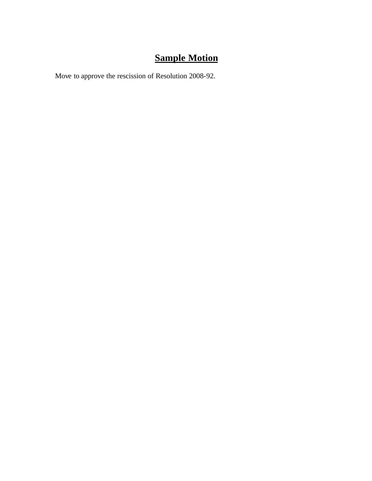### **Sample Motion**

Move to approve the rescission of Resolution 2008-92.